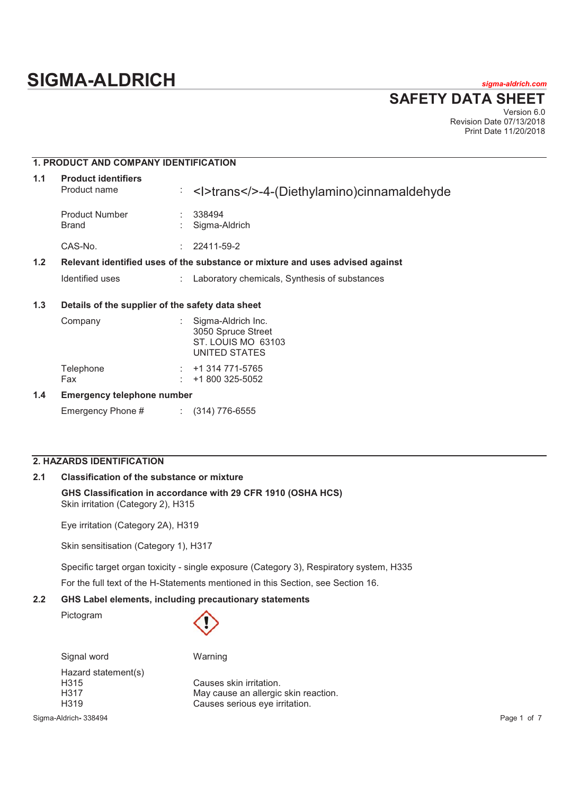# **SIGMA-ALDRICH** *sigma-aldrich.com*

**SAFETY DATA SHEET**

Version 6.0 Revision Date 07/13/2018 Print Date 11/20/2018

# **1. PRODUCT AND COMPANY IDENTIFICATION**

| 1.1 | <b>Product identifiers</b><br>Product name                                    | ÷  | <l>trans&gt;4-(Diethylamino)cinnamaldehyde</l> |  |
|-----|-------------------------------------------------------------------------------|----|------------------------------------------------|--|
|     | <b>Product Number</b><br><b>Brand</b>                                         |    | 338494<br>Sigma-Aldrich                        |  |
|     | CAS-No.                                                                       | ٠. | 22411-59-2                                     |  |
| 1.2 | Relevant identified uses of the substance or mixture and uses advised against |    |                                                |  |
|     | Identified uses                                                               | ÷  | Laboratory chemicals, Synthesis of substances  |  |
|     |                                                                               |    |                                                |  |

# **1.3 Details of the supplier of the safety data sheet**

| 1.4 | <b>Emergency telephone number</b> |  |                                                                                 |
|-----|-----------------------------------|--|---------------------------------------------------------------------------------|
|     | Telephone<br>Fax                  |  | $:  +1314771 - 5765$<br>$: 1800325-5052$                                        |
|     | Company                           |  | Sigma-Aldrich Inc.<br>3050 Spruce Street<br>ST. LOUIS MO 63103<br>UNITED STATES |

Emergency Phone # : (314) 776-6555

# **2. HAZARDS IDENTIFICATION**

# **2.1 Classification of the substance or mixture**

**GHS Classification in accordance with 29 CFR 1910 (OSHA HCS)** Skin irritation (Category 2), H315

Eye irritation (Category 2A), H319

Skin sensitisation (Category 1), H317

Specific target organ toxicity - single exposure (Category 3), Respiratory system, H335

For the full text of the H-Statements mentioned in this Section, see Section 16.

# **2.2 GHS Label elements, including precautionary statements**

Pictogram



Signal word Warning Hazard statement(s)

H315 Causes skin irritation. H317 May cause an allergic skin reaction. H319 Causes serious eye irritation.

Sigma-Aldrich**-** 338494 Page 1 of 7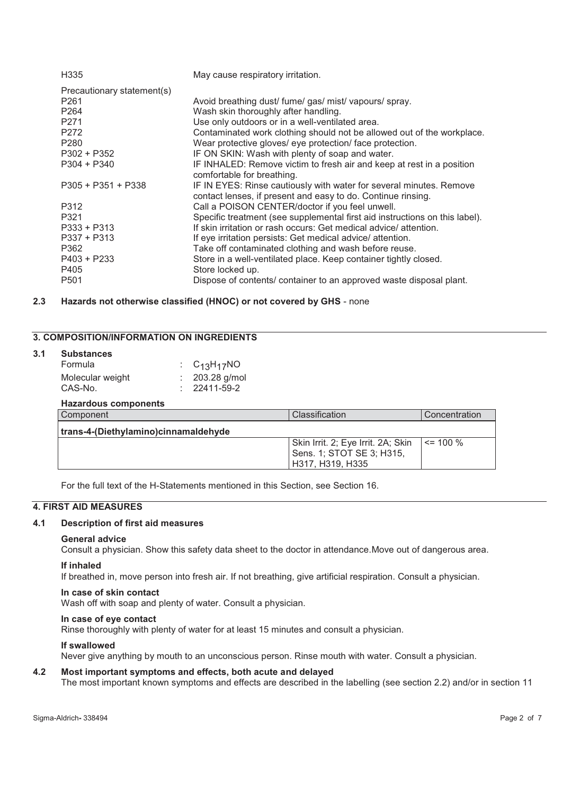| H335                       | May cause respiratory irritation.                                                                                                   |
|----------------------------|-------------------------------------------------------------------------------------------------------------------------------------|
| Precautionary statement(s) |                                                                                                                                     |
| P <sub>261</sub>           | Avoid breathing dust/ fume/ gas/ mist/ vapours/ spray.                                                                              |
| P <sub>264</sub>           | Wash skin thoroughly after handling.                                                                                                |
| P <sub>271</sub>           | Use only outdoors or in a well-ventilated area.                                                                                     |
| P272                       | Contaminated work clothing should not be allowed out of the workplace.                                                              |
| P <sub>280</sub>           | Wear protective gloves/ eye protection/ face protection.                                                                            |
| $P302 + P352$              | IF ON SKIN: Wash with plenty of soap and water.                                                                                     |
| $P304 + P340$              | IF INHALED: Remove victim to fresh air and keep at rest in a position                                                               |
|                            | comfortable for breathing.                                                                                                          |
| $P305 + P351 + P338$       | IF IN EYES: Rinse cautiously with water for several minutes. Remove<br>contact lenses, if present and easy to do. Continue rinsing. |
| P312                       | Call a POISON CENTER/doctor if you feel unwell.                                                                                     |
| P321                       | Specific treatment (see supplemental first aid instructions on this label).                                                         |
| $P333 + P313$              | If skin irritation or rash occurs: Get medical advice/attention.                                                                    |
| $P337 + P313$              | If eye irritation persists: Get medical advice/ attention.                                                                          |
| P362                       | Take off contaminated clothing and wash before reuse.                                                                               |
| $P403 + P233$              | Store in a well-ventilated place. Keep container tightly closed.                                                                    |
| P405                       | Store locked up.                                                                                                                    |
| P <sub>501</sub>           | Dispose of contents/ container to an approved waste disposal plant.                                                                 |

# **2.3 Hazards not otherwise classified (HNOC) or not covered by GHS** - none

# **3. COMPOSITION/INFORMATION ON INGREDIENTS**

| 3.1 | <b>Substances</b> |                    |
|-----|-------------------|--------------------|
|     | Formula           | : $C_{13}H_{17}NO$ |
|     | Molecular weight  | $: 203.28$ g/mol   |
|     | CAS-No.           | $: 22411 - 59 - 2$ |
|     |                   |                    |

# **Hazardous components**

| Component                            | Classification                                                                      | Concentration |  |  |
|--------------------------------------|-------------------------------------------------------------------------------------|---------------|--|--|
| trans-4-(Diethylamino)cinnamaldehyde |                                                                                     |               |  |  |
|                                      | Skin Irrit. 2; Eye Irrit. 2A; Skin<br>Sens. 1; STOT SE 3; H315,<br>H317, H319, H335 | $\leq$ 100 %  |  |  |

For the full text of the H-Statements mentioned in this Section, see Section 16.

# **4. FIRST AID MEASURES**

#### **4.1 Description of first aid measures**

#### **General advice**

Consult a physician. Show this safety data sheet to the doctor in attendance.Move out of dangerous area.

#### **If inhaled**

If breathed in, move person into fresh air. If not breathing, give artificial respiration. Consult a physician.

# **In case of skin contact**

Wash off with soap and plenty of water. Consult a physician.

# **In case of eye contact**

Rinse thoroughly with plenty of water for at least 15 minutes and consult a physician.

# **If swallowed**

Never give anything by mouth to an unconscious person. Rinse mouth with water. Consult a physician.

# **4.2 Most important symptoms and effects, both acute and delayed**

The most important known symptoms and effects are described in the labelling (see section 2.2) and/or in section 11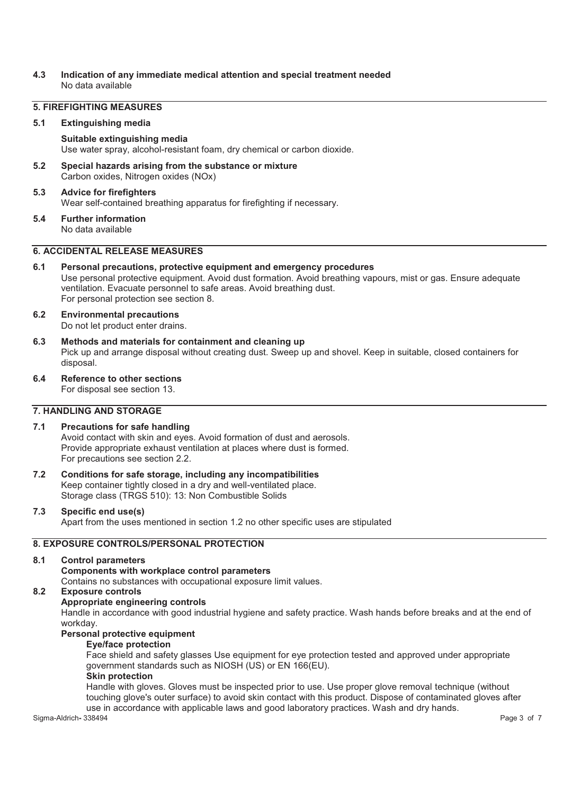# **4.3 Indication of any immediate medical attention and special treatment needed**  No data available

# **5. FIREFIGHTING MEASURES**

#### **5.1 Extinguishing media**

#### **Suitable extinguishing media**

Use water spray, alcohol-resistant foam, dry chemical or carbon dioxide.

**5.2 Special hazards arising from the substance or mixture**  Carbon oxides, Nitrogen oxides (NOx)

#### **5.3 Advice for firefighters**  Wear self-contained breathing apparatus for firefighting if necessary.

# **5.4 Further information**

No data available

# **6. ACCIDENTAL RELEASE MEASURES**

#### **6.1 Personal precautions, protective equipment and emergency procedures**  Use personal protective equipment. Avoid dust formation. Avoid breathing vapours, mist or gas. Ensure adequate ventilation. Evacuate personnel to safe areas. Avoid breathing dust. For personal protection see section 8.

- **6.2 Environmental precautions**  Do not let product enter drains.
- **6.3 Methods and materials for containment and cleaning up**  Pick up and arrange disposal without creating dust. Sweep up and shovel. Keep in suitable, closed containers for disposal.
- **6.4 Reference to other sections**

For disposal see section 13.

# **7. HANDLING AND STORAGE**

# **7.1 Precautions for safe handling**

Avoid contact with skin and eyes. Avoid formation of dust and aerosols. Provide appropriate exhaust ventilation at places where dust is formed. For precautions see section 2.2.

**7.2 Conditions for safe storage, including any incompatibilities**  Keep container tightly closed in a dry and well-ventilated place. Storage class (TRGS 510): 13: Non Combustible Solids

# **7.3 Specific end use(s)**  Apart from the uses mentioned in section 1.2 no other specific uses are stipulated

# **8. EXPOSURE CONTROLS/PERSONAL PROTECTION**

# **8.1 Control parameters Components with workplace control parameters**

Contains no substances with occupational exposure limit values.

# **8.2 Exposure controls**

# **Appropriate engineering controls**

Handle in accordance with good industrial hygiene and safety practice. Wash hands before breaks and at the end of workday.

# **Personal protective equipment**

# **Eye/face protection**

Face shield and safety glasses Use equipment for eye protection tested and approved under appropriate government standards such as NIOSH (US) or EN 166(EU).

# **Skin protection**

Handle with gloves. Gloves must be inspected prior to use. Use proper glove removal technique (without touching glove's outer surface) to avoid skin contact with this product. Dispose of contaminated gloves after use in accordance with applicable laws and good laboratory practices. Wash and dry hands.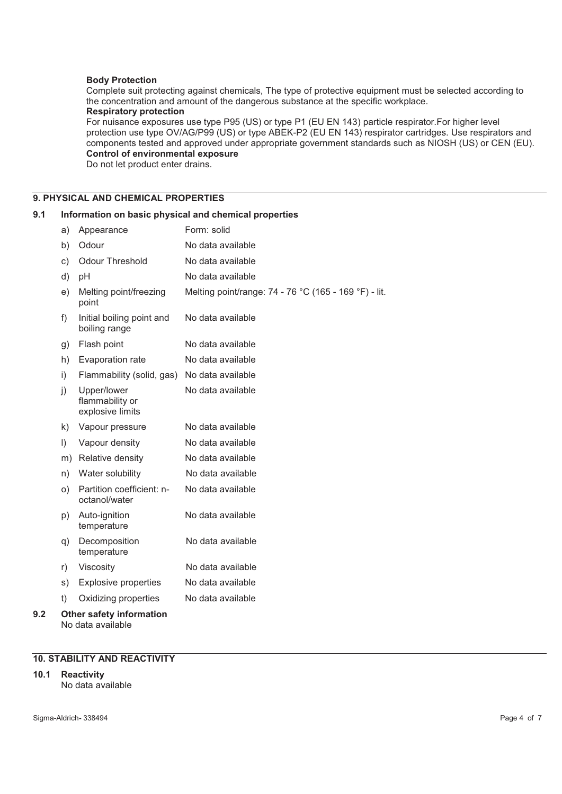# **Body Protection**

Complete suit protecting against chemicals, The type of protective equipment must be selected according to the concentration and amount of the dangerous substance at the specific workplace.

# **Respiratory protection**

For nuisance exposures use type P95 (US) or type P1 (EU EN 143) particle respirator.For higher level protection use type OV/AG/P99 (US) or type ABEK-P2 (EU EN 143) respirator cartridges. Use respirators and components tested and approved under appropriate government standards such as NIOSH (US) or CEN (EU). **Control of environmental exposure** 

Do not let product enter drains.

# **9. PHYSICAL AND CHEMICAL PROPERTIES**

# **9.1 Information on basic physical and chemical properties**

|     | a)      | Appearance                                           | Form: solid                                           |
|-----|---------|------------------------------------------------------|-------------------------------------------------------|
|     | b)      | Odour                                                | No data available                                     |
|     | c)      | <b>Odour Threshold</b>                               | No data available                                     |
|     | d)      | рH                                                   | No data available                                     |
|     | e)      | Melting point/freezing<br>point                      | Melting point/range: 74 - 76 °C (165 - 169 °F) - lit. |
|     | f)      | Initial boiling point and<br>boiling range           | No data available                                     |
|     | g)      | Flash point                                          | No data available                                     |
|     | h)      | Evaporation rate                                     | No data available                                     |
|     | i)      | Flammability (solid, gas)                            | No data available                                     |
|     | j)      | Upper/lower<br>flammability or<br>explosive limits   | No data available                                     |
|     | k)      | Vapour pressure                                      | No data available                                     |
|     | $\vert$ | Vapour density                                       | No data available                                     |
|     | m)      | Relative density                                     | No data available                                     |
|     | n)      | Water solubility                                     | No data available                                     |
|     | O)      | Partition coefficient: n-<br>octanol/water           | No data available                                     |
|     | p)      | Auto-ignition<br>temperature                         | No data available                                     |
|     | q)      | Decomposition<br>temperature                         | No data available                                     |
|     | r)      | Viscosity                                            | No data available                                     |
|     | s)      | <b>Explosive properties</b>                          | No data available                                     |
|     | t)      | Oxidizing properties                                 | No data available                                     |
| 9.2 |         | <b>Other safety information</b><br>No data available |                                                       |

# **10. STABILITY AND REACTIVITY**

**10.1 Reactivity**  No data available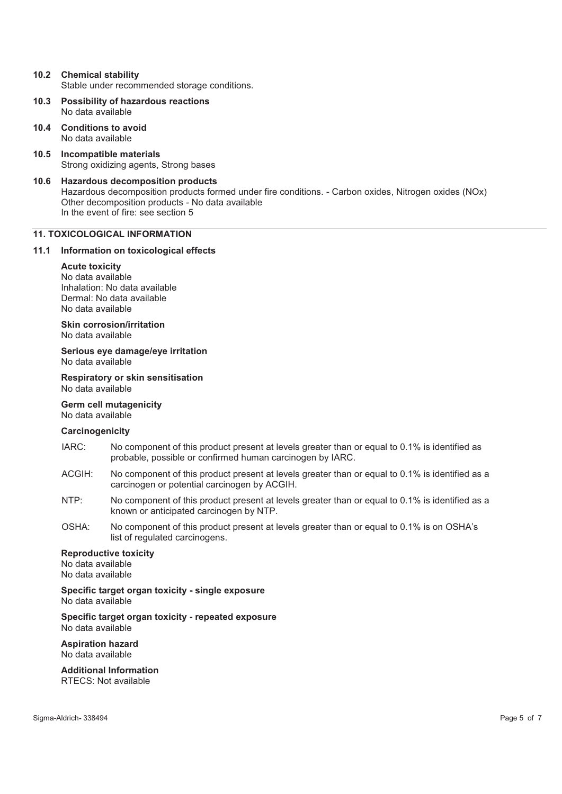- **10.2 Chemical stability**  Stable under recommended storage conditions.
- **10.3 Possibility of hazardous reactions**  No data available
- **10.4 Conditions to avoid**  No data available
- **10.5 Incompatible materials**  Strong oxidizing agents, Strong bases
- **10.6 Hazardous decomposition products**  Hazardous decomposition products formed under fire conditions. - Carbon oxides, Nitrogen oxides (NOx) Other decomposition products - No data available In the event of fire: see section 5

# **11. TOXICOLOGICAL INFORMATION**

# **11.1 Information on toxicological effects**

# **Acute toxicity**

No data available Inhalation: No data available Dermal: No data available No data available

**Skin corrosion/irritation** 

No data available

**Serious eye damage/eye irritation**  No data available

**Respiratory or skin sensitisation**  No data available

**Germ cell mutagenicity**  No data available

# **Carcinogenicity**

- IARC: No component of this product present at levels greater than or equal to 0.1% is identified as probable, possible or confirmed human carcinogen by IARC.
- ACGIH: No component of this product present at levels greater than or equal to 0.1% is identified as a carcinogen or potential carcinogen by ACGIH.
- NTP: No component of this product present at levels greater than or equal to 0.1% is identified as a known or anticipated carcinogen by NTP.
- OSHA: No component of this product present at levels greater than or equal to 0.1% is on OSHA's list of regulated carcinogens.

#### **Reproductive toxicity**

No data available No data available

**Specific target organ toxicity - single exposure**  No data available

**Specific target organ toxicity - repeated exposure**  No data available

**Aspiration hazard**  No data available

**Additional Information**  RTECS: Not available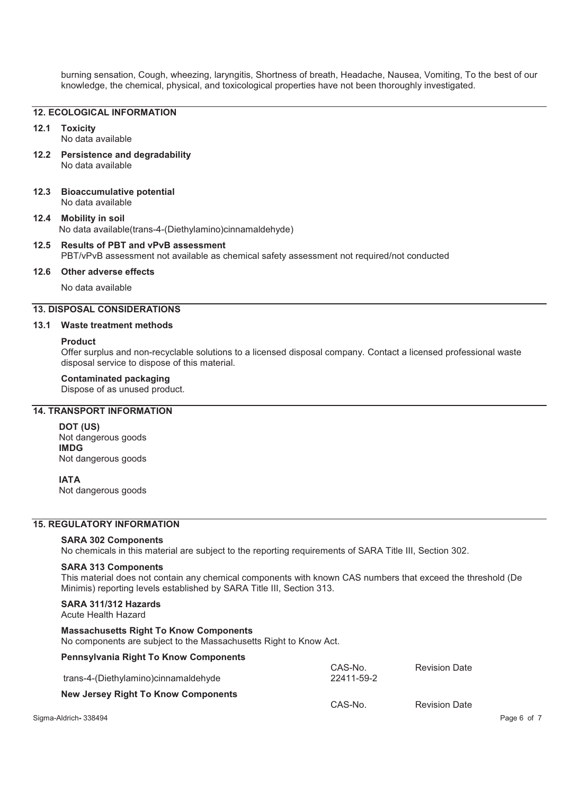burning sensation, Cough, wheezing, laryngitis, Shortness of breath, Headache, Nausea, Vomiting, To the best of our knowledge, the chemical, physical, and toxicological properties have not been thoroughly investigated.

# **12. ECOLOGICAL INFORMATION**

#### **12.1 Toxicity**

No data available

- **12.2 Persistence and degradability**  No data available
- **12.3 Bioaccumulative potential**  No data available

#### **12.4 Mobility in soil**  No data available(trans-4-(Diethylamino)cinnamaldehyde)

#### **12.5 Results of PBT and vPvB assessment**  PBT/vPvB assessment not available as chemical safety assessment not required/not conducted

#### **12.6 Other adverse effects**

No data available

# **13. DISPOSAL CONSIDERATIONS**

#### **13.1 Waste treatment methods**

#### **Product**

Offer surplus and non-recyclable solutions to a licensed disposal company. Contact a licensed professional waste disposal service to dispose of this material.

# **Contaminated packaging**

Dispose of as unused product.

# **14. TRANSPORT INFORMATION**

**DOT (US)** Not dangerous goods **IMDG** Not dangerous goods

#### **IATA**

Not dangerous goods

# **15. REGULATORY INFORMATION**

#### **SARA 302 Components**

No chemicals in this material are subject to the reporting requirements of SARA Title III, Section 302.

#### **SARA 313 Components**

This material does not contain any chemical components with known CAS numbers that exceed the threshold (De Minimis) reporting levels established by SARA Title III, Section 313.

# **SARA 311/312 Hazards**

Acute Health Hazard

#### **Massachusetts Right To Know Components**

No components are subject to the Massachusetts Right to Know Act.

#### **Pennsylvania Right To Know Components**

| trans-4-(Diethylamino)cinnamaldehyde       | CAS-No.<br>22411-59-2 | <b>Revision Date</b> |             |
|--------------------------------------------|-----------------------|----------------------|-------------|
| <b>New Jersey Right To Know Components</b> | CAS-No.               | <b>Revision Date</b> |             |
| Sigma-Aldrich-338494                       |                       |                      | Page 6 of 7 |